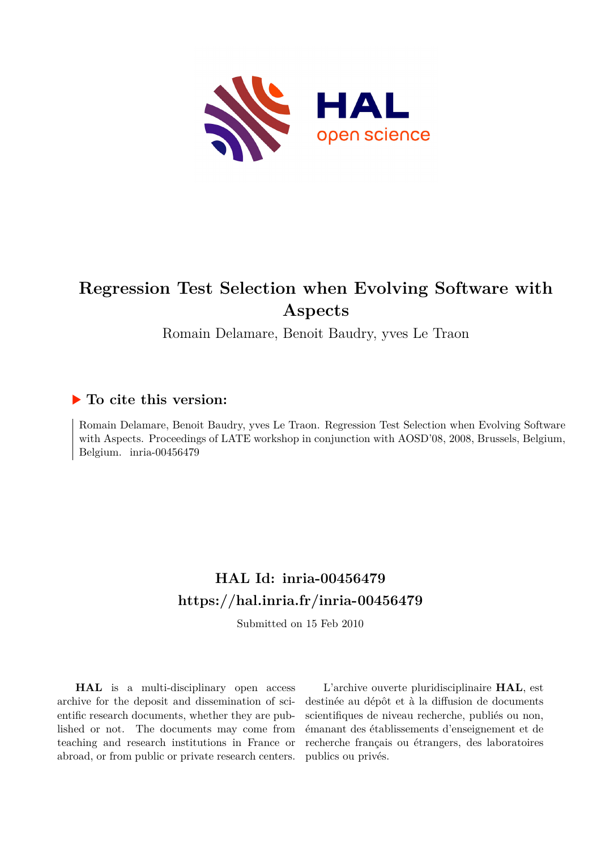

# **Regression Test Selection when Evolving Software with Aspects**

Romain Delamare, Benoit Baudry, yves Le Traon

## **To cite this version:**

Romain Delamare, Benoit Baudry, yves Le Traon. Regression Test Selection when Evolving Software with Aspects. Proceedings of LATE workshop in conjunction with AOSD'08, 2008, Brussels, Belgium, Belgium. inria-00456479

## **HAL Id: inria-00456479 <https://hal.inria.fr/inria-00456479>**

Submitted on 15 Feb 2010

**HAL** is a multi-disciplinary open access archive for the deposit and dissemination of scientific research documents, whether they are published or not. The documents may come from teaching and research institutions in France or abroad, or from public or private research centers.

L'archive ouverte pluridisciplinaire **HAL**, est destinée au dépôt et à la diffusion de documents scientifiques de niveau recherche, publiés ou non, émanant des établissements d'enseignement et de recherche français ou étrangers, des laboratoires publics ou privés.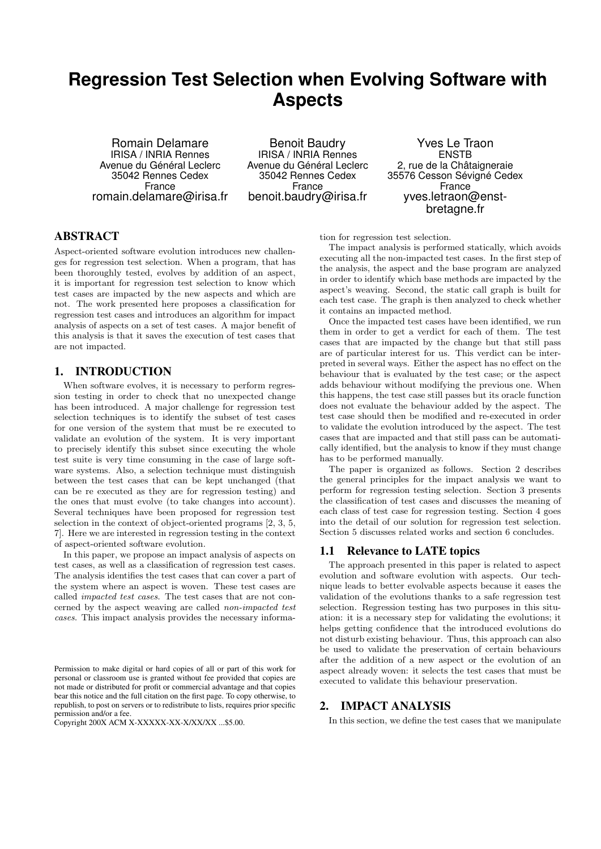## **Regression Test Selection when Evolving Software with Aspects**

Romain Delamare IRISA / INRIA Rennes Avenue du Général Leclerc 35042 Rennes Cedex France romain.delamare@irisa.fr

Benoit Baudry IRISA / INRIA Rennes Avenue du Général Leclerc 35042 Rennes Cedex France benoit.baudry@irisa.fr

Yves Le Traon ENSTB 2, rue de la Châtaigneraie 35576 Cesson Sévigné Cedex France yves.letraon@enstbretagne.fr

## ABSTRACT

Aspect-oriented software evolution introduces new challenges for regression test selection. When a program, that has been thoroughly tested, evolves by addition of an aspect, it is important for regression test selection to know which test cases are impacted by the new aspects and which are not. The work presented here proposes a classification for regression test cases and introduces an algorithm for impact analysis of aspects on a set of test cases. A major benefit of this analysis is that it saves the execution of test cases that are not impacted.

## 1. INTRODUCTION

When software evolves, it is necessary to perform regression testing in order to check that no unexpected change has been introduced. A major challenge for regression test selection techniques is to identify the subset of test cases for one version of the system that must be re executed to validate an evolution of the system. It is very important to precisely identify this subset since executing the whole test suite is very time consuming in the case of large software systems. Also, a selection technique must distinguish between the test cases that can be kept unchanged (that can be re executed as they are for regression testing) and the ones that must evolve (to take changes into account). Several techniques have been proposed for regression test selection in the context of object-oriented programs [2, 3, 5, 7]. Here we are interested in regression testing in the context of aspect-oriented software evolution.

In this paper, we propose an impact analysis of aspects on test cases, as well as a classification of regression test cases. The analysis identifies the test cases that can cover a part of the system where an aspect is woven. These test cases are called *impacted test cases*. The test cases that are not concerned by the aspect weaving are called *non-impacted test cases*. This impact analysis provides the necessary information for regression test selection.

The impact analysis is performed statically, which avoids executing all the non-impacted test cases. In the first step of the analysis, the aspect and the base program are analyzed in order to identify which base methods are impacted by the aspect's weaving. Second, the static call graph is built for each test case. The graph is then analyzed to check whether it contains an impacted method.

Once the impacted test cases have been identified, we run them in order to get a verdict for each of them. The test cases that are impacted by the change but that still pass are of particular interest for us. This verdict can be interpreted in several ways. Either the aspect has no effect on the behaviour that is evaluated by the test case; or the aspect adds behaviour without modifying the previous one. When this happens, the test case still passes but its oracle function does not evaluate the behaviour added by the aspect. The test case should then be modified and re-executed in order to validate the evolution introduced by the aspect. The test cases that are impacted and that still pass can be automatically identified, but the analysis to know if they must change has to be performed manually.

The paper is organized as follows. Section 2 describes the general principles for the impact analysis we want to perform for regression testing selection. Section 3 presents the classification of test cases and discusses the meaning of each class of test case for regression testing. Section 4 goes into the detail of our solution for regression test selection. Section 5 discusses related works and section 6 concludes.

#### 1.1 Relevance to LATE topics

The approach presented in this paper is related to aspect evolution and software evolution with aspects. Our technique leads to better evolvable aspects because it eases the validation of the evolutions thanks to a safe regression test selection. Regression testing has two purposes in this situation: it is a necessary step for validating the evolutions; it helps getting confidence that the introduced evolutions do not disturb existing behaviour. Thus, this approach can also be used to validate the preservation of certain behaviours after the addition of a new aspect or the evolution of an aspect already woven: it selects the test cases that must be executed to validate this behaviour preservation.

## 2. IMPACT ANALYSIS

In this section, we define the test cases that we manipulate

Permission to make digital or hard copies of all or part of this work for personal or classroom use is granted without fee provided that copies are not made or distributed for profit or commercial advantage and that copies bear this notice and the full citation on the first page. To copy otherwise, to republish, to post on servers or to redistribute to lists, requires prior specific permission and/or a fee.

Copyright 200X ACM X-XXXXX-XX-X/XX/XX ...\$5.00.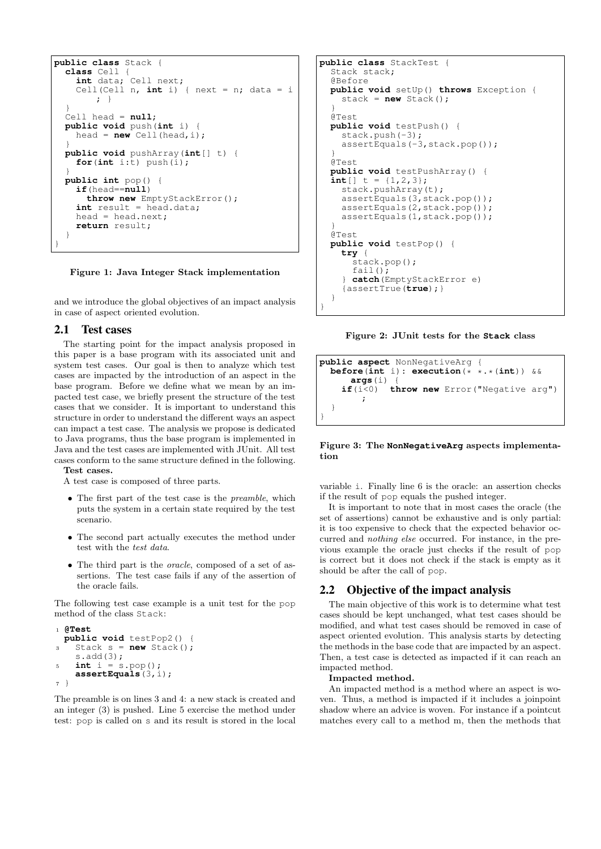```
public class Stack {
 class Cell {
    int data; Cell next;
    Cell(Cell n, int_i ) { next = n; data = i
        \cdot }
  }
  Cell head = null;
 public void push(int i) {
    head = new Cell(head, i);
  }
 public void pushArray(int[] t) {
    for(int i:t) push(i);
  }
 public int pop() {
    if(head==null)
      throw new EmptyStackError();
    int result = head.data;
    head = head.next;
    return result;
  }
}
```
Figure 1: Java Integer Stack implementation

and we introduce the global objectives of an impact analysis in case of aspect oriented evolution.

#### 2.1 Test cases

The starting point for the impact analysis proposed in this paper is a base program with its associated unit and system test cases. Our goal is then to analyze which test cases are impacted by the introduction of an aspect in the base program. Before we define what we mean by an impacted test case, we briefly present the structure of the test cases that we consider. It is important to understand this structure in order to understand the different ways an aspect can impact a test case. The analysis we propose is dedicated to Java programs, thus the base program is implemented in Java and the test cases are implemented with JUnit. All test cases conform to the same structure defined in the following. Test cases.

A test case is composed of three parts.

- The first part of the test case is the *preamble*, which puts the system in a certain state required by the test scenario.
- The second part actually executes the method under test with the *test data*.
- The third part is the *oracle*, composed of a set of assertions. The test case fails if any of the assertion of the oracle fails.

The following test case example is a unit test for the pop method of the class Stack:

```
1 @Test
 public void testPop2() {
    Stack s = new Stack();
    s.add(3);
5 int i = s.pop();
   assertEquals(3,i);
7<sup>1</sup>
```
The preamble is on lines 3 and 4: a new stack is created and an integer (3) is pushed. Line 5 exercise the method under test: pop is called on s and its result is stored in the local

```
public class StackTest {
  Stack stack;
  @Before
  public void setUp() throws Exception {
    stack = new Stack():
  }
  @Test
  public void testPush() {
    stack.push(-3);
    assertEquals(-3,stack.pop());
  }
  @Test
  public void testPushArray() {
  int[] t = \{1, 2, 3\};
    stack.pushArray(t);
    assertEquals(3,stack.pop());
    assertEquals(2,stack.pop());
    assertEquals(1,stack.pop());
  }
  @Test
  public void testPop() {
    try {
      stack.pop();
      fail();
     } catch(EmptyStackError e)
    {assertTrue(true);}
  }
}
```
Figure 2: JUnit tests for the **Stack** class

```
public aspect NonNegativeArg {<br>before(int i): execution(* *.*(int)) &&
  before(int i): execution(*
     args(i) if(i<0)
                 throw new Error("Negative arg")
          ;
   }
}
```
#### Figure 3: The **NonNegativeArg** aspects implementation

variable i. Finally line 6 is the oracle: an assertion checks if the result of pop equals the pushed integer.

It is important to note that in most cases the oracle (the set of assertions) cannot be exhaustive and is only partial: it is too expensive to check that the expected behavior occurred and *nothing else* occurred. For instance, in the previous example the oracle just checks if the result of pop is correct but it does not check if the stack is empty as it should be after the call of pop.

## 2.2 Objective of the impact analysis

The main objective of this work is to determine what test cases should be kept unchanged, what test cases should be modified, and what test cases should be removed in case of aspect oriented evolution. This analysis starts by detecting the methods in the base code that are impacted by an aspect. Then, a test case is detected as impacted if it can reach an impacted method.

#### Impacted method.

An impacted method is a method where an aspect is woven. Thus, a method is impacted if it includes a joinpoint shadow where an advice is woven. For instance if a pointcut matches every call to a method m, then the methods that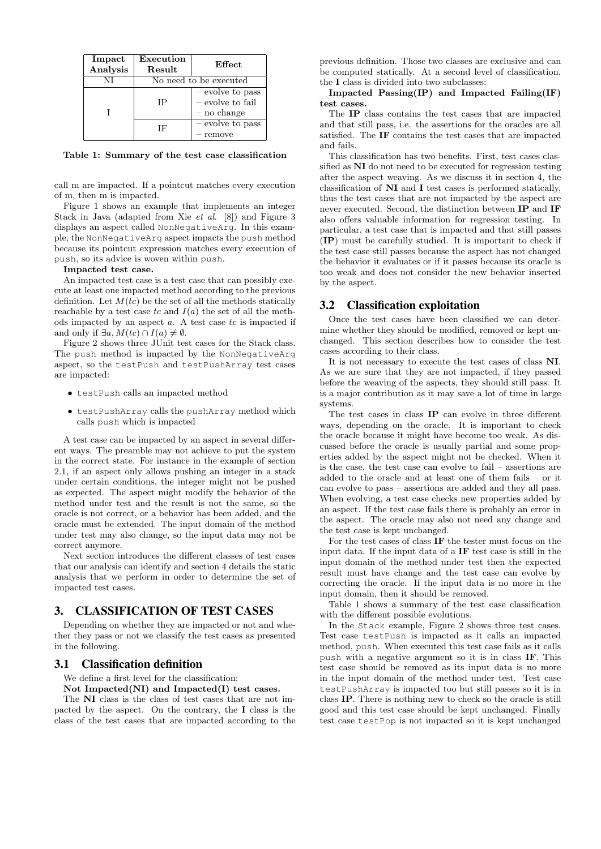| Impact<br>Analysis | Execution<br>Result    | Effect                                                  |
|--------------------|------------------------|---------------------------------------------------------|
| NI                 | No need to be executed |                                                         |
|                    | IΡ                     | - evolve to pass<br>$-$ evolve to fail<br>$-$ no change |
|                    | ΙF                     | - evolve to pass<br>- remove                            |

Table 1: Summary of the test case classification

call m are impacted. If a pointcut matches every execution of m, then m is impacted.

Figure 1 shows an example that implements an integer Stack in Java (adapted from Xie *et al.* [8]) and Figure 3 displays an aspect called NonNegativeArg. In this example, the NonNegativeArg aspect impacts the push method because its pointcut expression matches every execution of push, so its advice is woven within push.

#### Impacted test case.

An impacted test case is a test case that can possibly execute at least one impacted method according to the previous definition. Let  $M(tc)$  be the set of all the methods statically reachable by a test case tc and  $I(a)$  the set of all the methods impacted by an aspect  $a$ . A test case  $tc$  is impacted if and only if  $\exists a, M(tc) \cap I(a) \neq \emptyset$ .

Figure 2 shows three JUnit test cases for the Stack class. The push method is impacted by the NonNegativeArg aspect, so the testPush and testPushArray test cases are impacted:

- testPush calls an impacted method
- testPushArray calls the pushArray method which calls push which is impacted

A test case can be impacted by an aspect in several different ways. The preamble may not achieve to put the system in the correct state. For instance in the example of section 2.1, if an aspect only allows pushing an integer in a stack under certain conditions, the integer might not be pushed as expected. The aspect might modify the behavior of the method under test and the result is not the same, so the oracle is not correct, or a behavior has been added, and the oracle must be extended. The input domain of the method under test may also change, so the input data may not be correct anymore.

Next section introduces the different classes of test cases that our analysis can identify and section 4 details the static analysis that we perform in order to determine the set of impacted test cases.

## 3. CLASSIFICATION OF TEST CASES

Depending on whether they are impacted or not and whether they pass or not we classify the test cases as presented in the following.

#### 3.1 Classification definition

We define a first level for the classification:

Not Impacted(NI) and Impacted(I) test cases.

The NI class is the class of test cases that are not impacted by the aspect. On the contrary, the I class is the class of the test cases that are impacted according to the previous definition. Those two classes are exclusive and can be computed statically. At a second level of classification, the I class is divided into two subclasses:

Impacted Passing(IP) and Impacted Failing(IF) test cases.

The IP class contains the test cases that are impacted and that still pass, i.e. the assertions for the oracles are all satisfied. The IF contains the test cases that are impacted and fails.

This classification has two benefits. First, test cases classified as NI do not need to be executed for regression testing after the aspect weaving. As we discuss it in section 4, the classification of NI and I test cases is performed statically, thus the test cases that are not impacted by the aspect are never executed. Second, the distinction between IP and IF also offers valuable information for regression testing. In particular, a test case that is impacted and that still passes (IP) must be carefully studied. It is important to check if the test case still passes because the aspect has not changed the behavior it evaluates or if it passes because its oracle is too weak and does not consider the new behavior inserted by the aspect.

### 3.2 Classification exploitation

Once the test cases have been classified we can determine whether they should be modified, removed or kept unchanged. This section describes how to consider the test cases according to their class.

It is not necessary to execute the test cases of class NI. As we are sure that they are not impacted, if they passed before the weaving of the aspects, they should still pass. It is a major contribution as it may save a lot of time in large systems.

The test cases in class IP can evolve in three different ways, depending on the oracle. It is important to check the oracle because it might have become too weak. As discussed before the oracle is usually partial and some properties added by the aspect might not be checked. When it is the case, the test case can evolve to fail – assertions are added to the oracle and at least one of them fails – or it can evolve to pass – assertions are added and they all pass. When evolving, a test case checks new properties added by an aspect. If the test case fails there is probably an error in the aspect. The oracle may also not need any change and the test case is kept unchanged.

For the test cases of class IF the tester must focus on the input data. If the input data of a IF test case is still in the input domain of the method under test then the expected result must have change and the test case can evolve by correcting the oracle. If the input data is no more in the input domain, then it should be removed.

Table 1 shows a summary of the test case classification with the different possible evolutions.

In the Stack example, Figure 2 shows three test cases. Test case testPush is impacted as it calls an impacted method, push. When executed this test case fails as it calls push with a negative argument so it is in class IF. This test case should be removed as its input data is no more in the input domain of the method under test. Test case testPushArray is impacted too but still passes so it is in class IP. There is nothing new to check so the oracle is still good and this test case should be kept unchanged. Finally test case testPop is not impacted so it is kept unchanged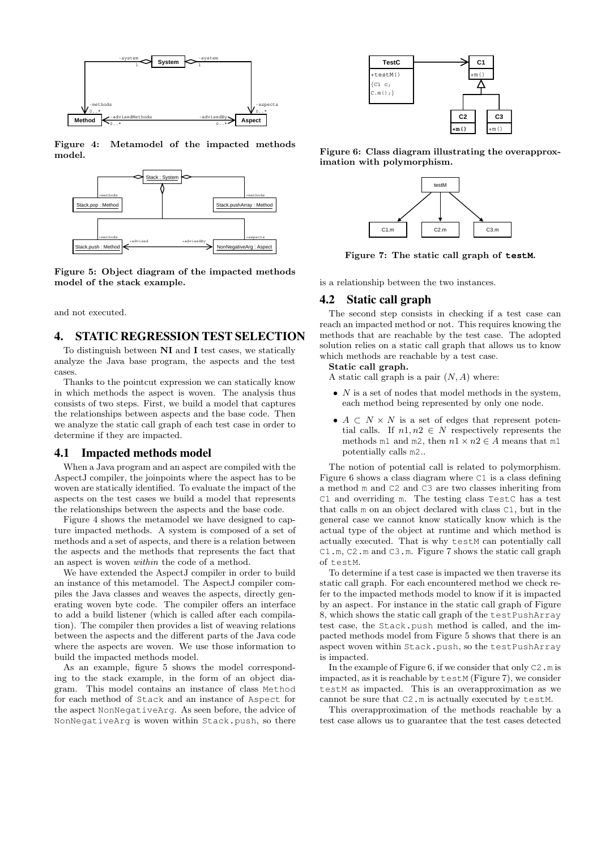

Figure 4: Metamodel of the impacted methods model.



Figure 5: Object diagram of the impacted methods model of the stack example.

and not executed.

## 4. STATIC REGRESSION TEST SELECTION

To distinguish between NI and I test cases, we statically analyze the Java base program, the aspects and the test cases.

Thanks to the pointcut expression we can statically know in which methods the aspect is woven. The analysis thus consists of two steps. First, we build a model that captures the relationships between aspects and the base code. Then we analyze the static call graph of each test case in order to determine if they are impacted.

#### 4.1 Impacted methods model

When a Java program and an aspect are compiled with the AspectJ compiler, the joinpoints where the aspect has to be woven are statically identified. To evaluate the impact of the aspects on the test cases we build a model that represents the relationships between the aspects and the base code.

Figure 4 shows the metamodel we have designed to capture impacted methods. A system is composed of a set of methods and a set of aspects, and there is a relation between the aspects and the methods that represents the fact that an aspect is woven *within* the code of a method.

We have extended the AspectJ compiler in order to build an instance of this metamodel. The AspectJ compiler compiles the Java classes and weaves the aspects, directly generating woven byte code. The compiler offers an interface to add a build listener (which is called after each compilation). The compiler then provides a list of weaving relations between the aspects and the different parts of the Java code where the aspects are woven. We use those information to build the impacted methods model.

As an example, figure 5 shows the model corresponding to the stack example, in the form of an object diagram. This model contains an instance of class Method for each method of Stack and an instance of Aspect for the aspect NonNegativeArg. As seen before, the advice of NonNegativeArg is woven within Stack.push, so there



Figure 6: Class diagram illustrating the overapproximation with polymorphism.



Figure 7: The static call graph of **testM**.

is a relationship between the two instances.

### 4.2 Static call graph

The second step consists in checking if a test case can reach an impacted method or not. This requires knowing the methods that are reachable by the test case. The adopted solution relies on a static call graph that allows us to know which methods are reachable by a test case.

Static call graph.

A static call graph is a pair  $(N, A)$  where:

- $N$  is a set of nodes that model methods in the system, each method being represented by only one node.
- $A \subset N \times N$  is a set of edges that represent potential calls. If  $n1, n2 \in N$  respectively represents the methods m1 and m2, then  $n1 \times n2 \in A$  means that m1 potentially calls m2..

The notion of potential call is related to polymorphism. Figure 6 shows a class diagram where C1 is a class defining a method m and C2 and C3 are two classes inheriting from C1 and overriding m. The testing class TestC has a test that calls m on an object declared with class C1, but in the general case we cannot know statically know which is the actual type of the object at runtime and which method is actually executed. That is why testM can potentially call C1.m, C2.m and C3.m. Figure 7 shows the static call graph of testM.

To determine if a test case is impacted we then traverse its static call graph. For each encountered method we check refer to the impacted methods model to know if it is impacted by an aspect. For instance in the static call graph of Figure 8, which shows the static call graph of the testPushArray test case, the Stack.push method is called, and the impacted methods model from Figure 5 shows that there is an aspect woven within Stack.push, so the testPushArray is impacted.

In the example of Figure 6, if we consider that only  $C2$ .m is impacted, as it is reachable by testM (Figure 7), we consider testM as impacted. This is an overapproximation as we cannot be sure that C2.m is actually executed by testM.

This overapproximation of the methods reachable by a test case allows us to guarantee that the test cases detected